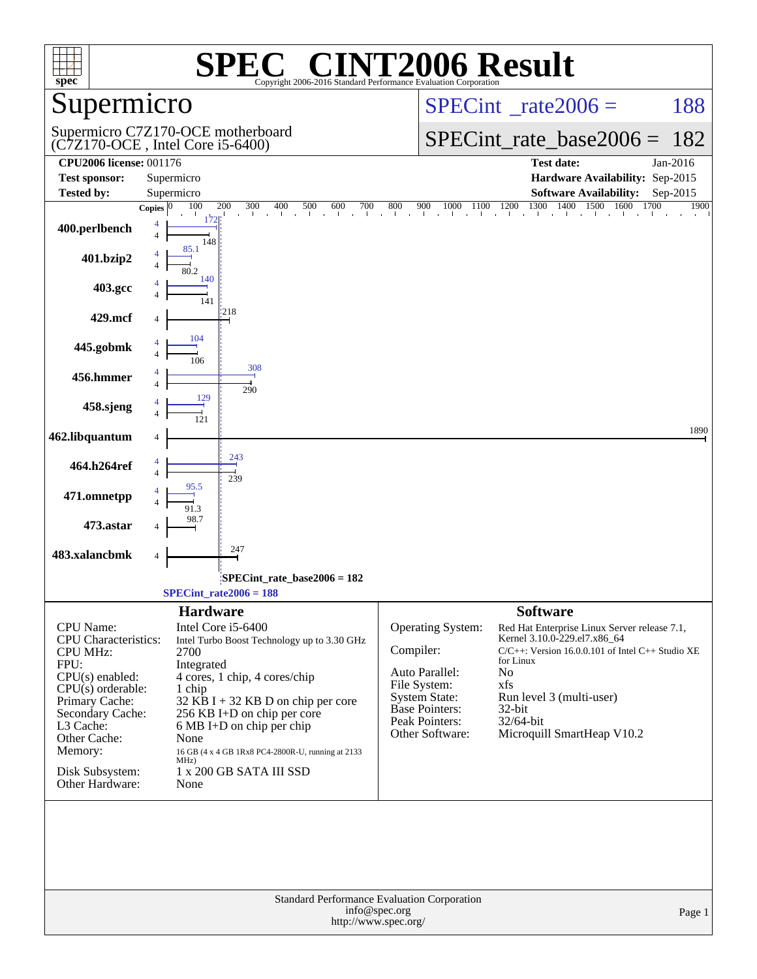| spec <sup>®</sup>                                                                                                                                                                                                                          | $\P(\mathbb{R})$<br>Copyright 2006-2016 Standard Performance Evaluation Corporation                                                                                                                                                                                                                                                                               | <b>CINT2006 Result</b>                                                                                                                                                                                                                                                                                                                                                                                                        |
|--------------------------------------------------------------------------------------------------------------------------------------------------------------------------------------------------------------------------------------------|-------------------------------------------------------------------------------------------------------------------------------------------------------------------------------------------------------------------------------------------------------------------------------------------------------------------------------------------------------------------|-------------------------------------------------------------------------------------------------------------------------------------------------------------------------------------------------------------------------------------------------------------------------------------------------------------------------------------------------------------------------------------------------------------------------------|
| Supermicro                                                                                                                                                                                                                                 |                                                                                                                                                                                                                                                                                                                                                                   | $SPECint^{\circ}$ <sub>_rate2006</sub> =<br>188                                                                                                                                                                                                                                                                                                                                                                               |
|                                                                                                                                                                                                                                            | Supermicro C7Z170-OCE motherboard<br>$(C7Z170$ -OCE, Intel Core i5-6400)                                                                                                                                                                                                                                                                                          | $SPECint$ rate base2006 =<br>182                                                                                                                                                                                                                                                                                                                                                                                              |
| <b>CPU2006 license: 001176</b><br><b>Test sponsor:</b>                                                                                                                                                                                     | Supermicro                                                                                                                                                                                                                                                                                                                                                        | <b>Test date:</b><br>Jan-2016<br>Hardware Availability: Sep-2015                                                                                                                                                                                                                                                                                                                                                              |
| <b>Tested by:</b>                                                                                                                                                                                                                          | Supermicro                                                                                                                                                                                                                                                                                                                                                        | <b>Software Availability:</b><br>$Sep-2015$                                                                                                                                                                                                                                                                                                                                                                                   |
| 400.perlbench                                                                                                                                                                                                                              | 100<br>200<br>300<br>400<br>500<br>600<br>700<br>Copies $ 0 $<br>$\sim$<br>$\blacksquare$<br>$\overline{4}$<br>$\overline{4}$<br>148<br>85.1                                                                                                                                                                                                                      | 1300 1400<br>1500 1600<br>1700<br>$\frac{800}{1}$<br>900<br>900 1000 1100 1200 1300 1<br>1900                                                                                                                                                                                                                                                                                                                                 |
| 401.bzip2                                                                                                                                                                                                                                  | 4<br>$\overline{4}$<br>80.2                                                                                                                                                                                                                                                                                                                                       |                                                                                                                                                                                                                                                                                                                                                                                                                               |
| 403.gcc                                                                                                                                                                                                                                    | 140<br>$\overline{4}$<br>141                                                                                                                                                                                                                                                                                                                                      |                                                                                                                                                                                                                                                                                                                                                                                                                               |
| 429.mcf                                                                                                                                                                                                                                    | 218<br>4                                                                                                                                                                                                                                                                                                                                                          |                                                                                                                                                                                                                                                                                                                                                                                                                               |
| 445.gobmk                                                                                                                                                                                                                                  | 104<br>$\overline{4}$<br>106                                                                                                                                                                                                                                                                                                                                      |                                                                                                                                                                                                                                                                                                                                                                                                                               |
| 456.hmmer                                                                                                                                                                                                                                  | 308<br>$\overline{4}$                                                                                                                                                                                                                                                                                                                                             |                                                                                                                                                                                                                                                                                                                                                                                                                               |
| 458.sjeng                                                                                                                                                                                                                                  | 290<br>129<br>$\overline{4}$                                                                                                                                                                                                                                                                                                                                      |                                                                                                                                                                                                                                                                                                                                                                                                                               |
| 462.libquantum                                                                                                                                                                                                                             | 4                                                                                                                                                                                                                                                                                                                                                                 | 1890                                                                                                                                                                                                                                                                                                                                                                                                                          |
| 464.h264ref                                                                                                                                                                                                                                | 243<br>4<br>$\overline{4}$                                                                                                                                                                                                                                                                                                                                        |                                                                                                                                                                                                                                                                                                                                                                                                                               |
| 471.omnetpp                                                                                                                                                                                                                                | 239<br>95.5<br>$\overline{4}$                                                                                                                                                                                                                                                                                                                                     |                                                                                                                                                                                                                                                                                                                                                                                                                               |
| 473.astar                                                                                                                                                                                                                                  | 91.3<br>98.7<br>4                                                                                                                                                                                                                                                                                                                                                 |                                                                                                                                                                                                                                                                                                                                                                                                                               |
| 483.xalancbmk                                                                                                                                                                                                                              | 247<br>4                                                                                                                                                                                                                                                                                                                                                          |                                                                                                                                                                                                                                                                                                                                                                                                                               |
|                                                                                                                                                                                                                                            | $SPECint$ rate_base2006 = 182<br>$SPECint_rate2006 = 188$                                                                                                                                                                                                                                                                                                         |                                                                                                                                                                                                                                                                                                                                                                                                                               |
|                                                                                                                                                                                                                                            |                                                                                                                                                                                                                                                                                                                                                                   |                                                                                                                                                                                                                                                                                                                                                                                                                               |
| <b>CPU</b> Name:<br><b>CPU</b> Characteristics:<br><b>CPU MHz:</b><br>FPU:<br>$CPU(s)$ enabled:<br>$CPU(s)$ orderable:<br>Primary Cache:<br>Secondary Cache:<br>L3 Cache:<br>Other Cache:<br>Memory:<br>Disk Subsystem:<br>Other Hardware: | <b>Hardware</b><br>Intel Core i5-6400<br>Intel Turbo Boost Technology up to 3.30 GHz<br>2700<br>Integrated<br>4 cores, 1 chip, 4 cores/chip<br>1 chip<br>$32$ KB I + 32 KB D on chip per core<br>256 KB I+D on chip per core<br>6 MB I+D on chip per chip<br>None<br>16 GB (4 x 4 GB 1Rx8 PC4-2800R-U, running at 2133<br>MHz)<br>1 x 200 GB SATA III SSD<br>None | <b>Software</b><br>Operating System:<br>Red Hat Enterprise Linux Server release 7.1,<br>Kernel 3.10.0-229.el7.x86_64<br>Compiler:<br>$C/C++$ : Version 16.0.0.101 of Intel $C++$ Studio XE<br>for Linux<br>Auto Parallel:<br>No<br>File System:<br>xfs<br><b>System State:</b><br>Run level 3 (multi-user)<br><b>Base Pointers:</b><br>32-bit<br>Peak Pointers:<br>32/64-bit<br>Other Software:<br>Microquill SmartHeap V10.2 |
|                                                                                                                                                                                                                                            | <b>Standard Performance Evaluation Corporation</b><br>info@spec.org<br>http://www.spec.org/                                                                                                                                                                                                                                                                       | Page 1                                                                                                                                                                                                                                                                                                                                                                                                                        |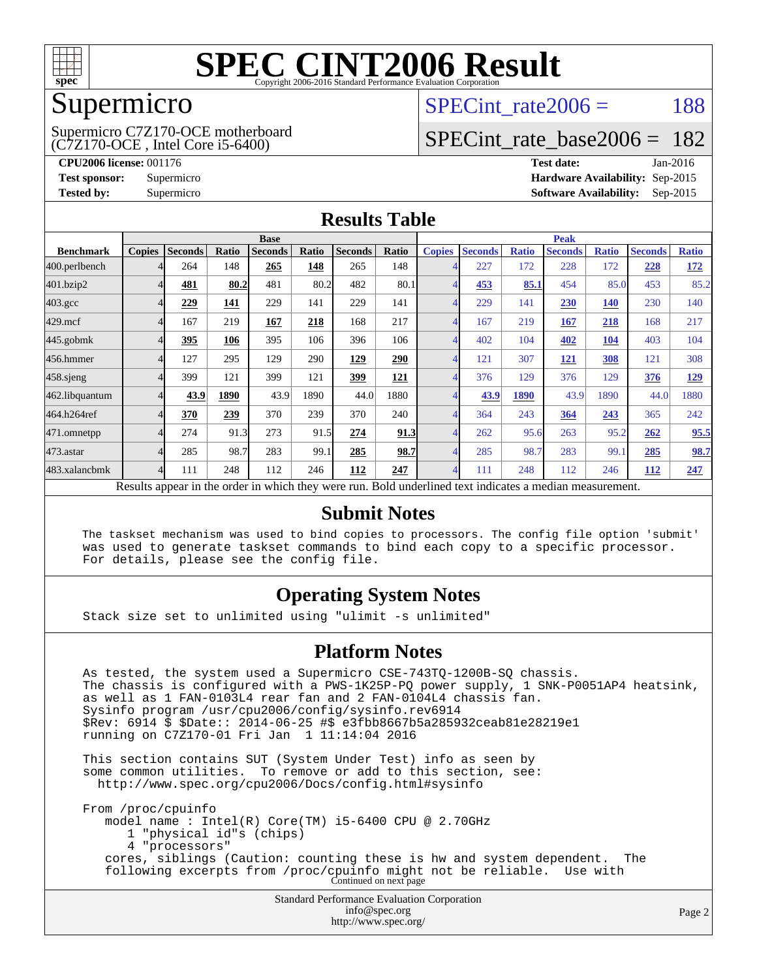

## Supermicro

(C7Z170-OCE , Intel Core i5-6400) Supermicro C7Z170-OCE motherboard SPECint rate $2006 = 188$ 

# [SPECint\\_rate\\_base2006 =](http://www.spec.org/auto/cpu2006/Docs/result-fields.html#SPECintratebase2006) 182

**[CPU2006 license:](http://www.spec.org/auto/cpu2006/Docs/result-fields.html#CPU2006license)** 001176 **[Test date:](http://www.spec.org/auto/cpu2006/Docs/result-fields.html#Testdate)** Jan-2016 **[Test sponsor:](http://www.spec.org/auto/cpu2006/Docs/result-fields.html#Testsponsor)** Supermicro **[Hardware Availability:](http://www.spec.org/auto/cpu2006/Docs/result-fields.html#HardwareAvailability)** Sep-2015 **[Tested by:](http://www.spec.org/auto/cpu2006/Docs/result-fields.html#Testedby)** Supermicro **Supermicro [Software Availability:](http://www.spec.org/auto/cpu2006/Docs/result-fields.html#SoftwareAvailability)** Sep-2015

#### **[Results Table](http://www.spec.org/auto/cpu2006/Docs/result-fields.html#ResultsTable)**

|                                                                                                          | <b>Base</b>   |                |       |                |       |                | <b>Peak</b> |                |                |              |                |              |                |              |
|----------------------------------------------------------------------------------------------------------|---------------|----------------|-------|----------------|-------|----------------|-------------|----------------|----------------|--------------|----------------|--------------|----------------|--------------|
| <b>Benchmark</b>                                                                                         | <b>Copies</b> | <b>Seconds</b> | Ratio | <b>Seconds</b> | Ratio | <b>Seconds</b> | Ratio       | <b>Copies</b>  | <b>Seconds</b> | <b>Ratio</b> | <b>Seconds</b> | <b>Ratio</b> | <b>Seconds</b> | <b>Ratio</b> |
| 400.perlbench                                                                                            |               | 264            | 148   | 265            | 148   | 265            | 148         | 4              | 227            | 172          | 228            | 172          | 228            | <u>172</u>   |
| 401.bzip2                                                                                                |               | 481            | 80.2  | 481            | 80.2  | 482            | 80.1        | $\overline{4}$ | 453            | 85.1         | 454            | 85.0         | 453            | 85.2         |
| $403.\mathrm{gcc}$                                                                                       |               | 229            | 141   | 229            | 141   | 229            | 141         | $\overline{4}$ | 229            | 141          | 230            | 140          | 230            | 140          |
| $429$ .mcf                                                                                               |               | 167            | 219   | 167            | 218   | 168            | 217         | $\overline{4}$ | 167            | 219          | 167            | 218          | 168            | 217          |
| 445.gobmk                                                                                                |               | 395            | 106   | 395            | 106   | 396            | 106         | $\overline{4}$ | 402            | 104          | 402            | <u>104</u>   | 403            | 104          |
| 456.hmmer                                                                                                |               | 127            | 295   | 129            | 290   | 129            | 290         | $\overline{4}$ | 121            | 307          | 121            | 308          | 121            | 308          |
| $458$ .sjeng                                                                                             |               | 399            | 121   | 399            | 121   | 399            | 121         | $\overline{4}$ | 376            | 129          | 376            | 129          | 376            | <u>129</u>   |
| 462.libquantum                                                                                           |               | 43.9           | 1890  | 43.9           | 1890  | 44.0           | 1880        | 4              | 43.9           | 1890         | 43.9           | 1890         | 44.0           | 1880         |
| 464.h264ref                                                                                              |               | 370            | 239   | 370            | 239   | 370            | 240         | $\overline{4}$ | 364            | 243          | 364            | 243          | 365            | 242          |
| 471.omnetpp                                                                                              |               | 274            | 91.3  | 273            | 91.5  | 274            | 91.3        | 4              | 262            | 95.6         | 263            | 95.2         | 262            | 95.5         |
| 473.astar                                                                                                |               | 285            | 98.7  | 283            | 99.1  | 285            | 98.7        | $\overline{4}$ | 285            | 98.7         | 283            | 99.1         | 285            | 98.7         |
| 483.xalancbmk                                                                                            | Δ             | 111            | 248   | 112            | 246   | 112            | 247         | $\overline{4}$ | 111            | 248          | 112            | 246          | 112            | 247          |
| Results appear in the order in which they were run. Bold underlined text indicates a median measurement. |               |                |       |                |       |                |             |                |                |              |                |              |                |              |

#### **[Submit Notes](http://www.spec.org/auto/cpu2006/Docs/result-fields.html#SubmitNotes)**

 The taskset mechanism was used to bind copies to processors. The config file option 'submit' was used to generate taskset commands to bind each copy to a specific processor. For details, please see the config file.

### **[Operating System Notes](http://www.spec.org/auto/cpu2006/Docs/result-fields.html#OperatingSystemNotes)**

Stack size set to unlimited using "ulimit -s unlimited"

#### **[Platform Notes](http://www.spec.org/auto/cpu2006/Docs/result-fields.html#PlatformNotes)**

 As tested, the system used a Supermicro CSE-743TQ-1200B-SQ chassis. The chassis is configured with a PWS-1K25P-PQ power supply, 1 SNK-P0051AP4 heatsink, as well as 1 FAN-0103L4 rear fan and 2 FAN-0104L4 chassis fan. Sysinfo program /usr/cpu2006/config/sysinfo.rev6914 \$Rev: 6914 \$ \$Date:: 2014-06-25 #\$ e3fbb8667b5a285932ceab81e28219e1 running on C7Z170-01 Fri Jan 1 11:14:04 2016 This section contains SUT (System Under Test) info as seen by

 some common utilities. To remove or add to this section, see: <http://www.spec.org/cpu2006/Docs/config.html#sysinfo>

 From /proc/cpuinfo model name : Intel(R) Core(TM) i5-6400 CPU @ 2.70GHz 1 "physical id"s (chips) 4 "processors" cores, siblings (Caution: counting these is hw and system dependent. The following excerpts from /proc/cpuinfo might not be reliable. Use with Continued on next page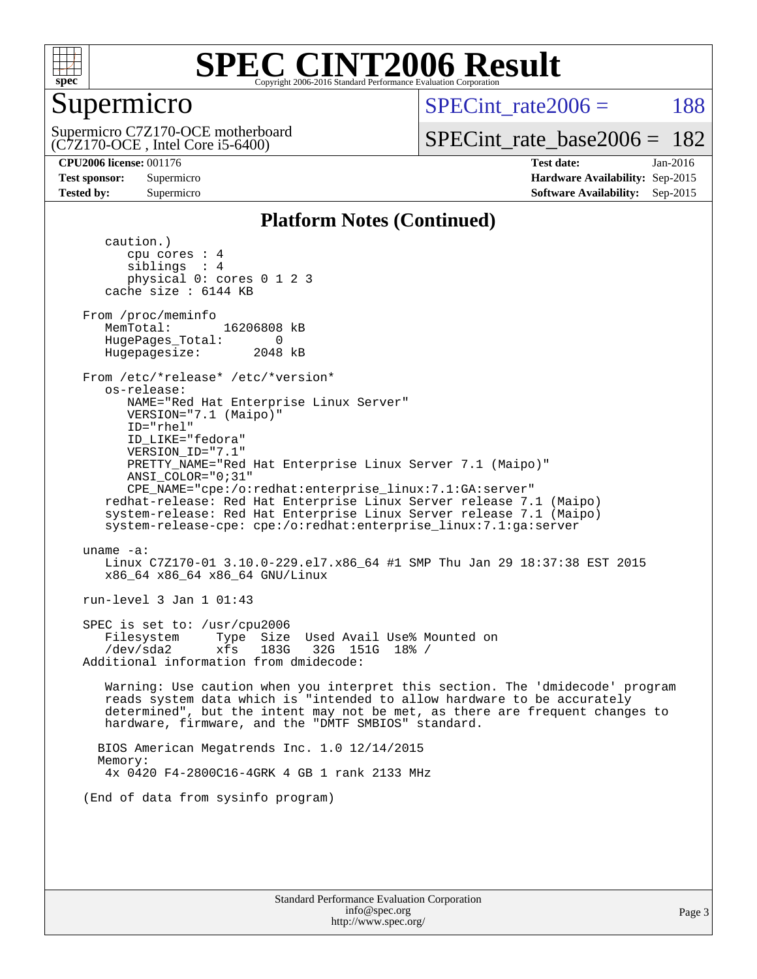

## Supermicro

(C7Z170-OCE , Intel Core i5-6400) Supermicro C7Z170-OCE motherboard  $SPECint rate2006 = 188$ 

[SPECint\\_rate\\_base2006 =](http://www.spec.org/auto/cpu2006/Docs/result-fields.html#SPECintratebase2006) 182

**[CPU2006 license:](http://www.spec.org/auto/cpu2006/Docs/result-fields.html#CPU2006license)** 001176 **[Test date:](http://www.spec.org/auto/cpu2006/Docs/result-fields.html#Testdate)** Jan-2016 **[Test sponsor:](http://www.spec.org/auto/cpu2006/Docs/result-fields.html#Testsponsor)** Supermicro **[Hardware Availability:](http://www.spec.org/auto/cpu2006/Docs/result-fields.html#HardwareAvailability)** Sep-2015 **[Tested by:](http://www.spec.org/auto/cpu2006/Docs/result-fields.html#Testedby)** Supermicro **Supermicro [Software Availability:](http://www.spec.org/auto/cpu2006/Docs/result-fields.html#SoftwareAvailability)** Sep-2015

#### **[Platform Notes \(Continued\)](http://www.spec.org/auto/cpu2006/Docs/result-fields.html#PlatformNotes)**

 caution.) cpu cores : 4 siblings : 4 physical 0: cores 0 1 2 3 cache size : 6144 KB From /proc/meminfo MemTotal: 16206808 kB HugePages\_Total: 0<br>Hugepagesize: 2048 kB Hugepagesize: From /etc/\*release\* /etc/\*version\* os-release: NAME="Red Hat Enterprise Linux Server" VERSION="7.1 (Maipo)" ID="rhel" ID\_LIKE="fedora" VERSION\_ID="7.1" PRETTY\_NAME="Red Hat Enterprise Linux Server 7.1 (Maipo)" ANSI\_COLOR="0;31" CPE\_NAME="cpe:/o:redhat:enterprise\_linux:7.1:GA:server" redhat-release: Red Hat Enterprise Linux Server release 7.1 (Maipo) system-release: Red Hat Enterprise Linux Server release 7.1 (Maipo) system-release-cpe: cpe:/o:redhat:enterprise\_linux:7.1:ga:server uname -a: Linux C7Z170-01 3.10.0-229.el7.x86\_64 #1 SMP Thu Jan 29 18:37:38 EST 2015 x86\_64 x86\_64 x86\_64 GNU/Linux run-level 3 Jan 1 01:43 SPEC is set to: /usr/cpu2006 Filesystem Type Size Used Avail Use% Mounted on /dev/sda2 xfs 183G 32G 151G 18% / Additional information from dmidecode: Warning: Use caution when you interpret this section. The 'dmidecode' program reads system data which is "intended to allow hardware to be accurately determined", but the intent may not be met, as there are frequent changes to hardware, firmware, and the "DMTF SMBIOS" standard. BIOS American Megatrends Inc. 1.0 12/14/2015 Memory: 4x 0420 F4-2800C16-4GRK 4 GB 1 rank 2133 MHz (End of data from sysinfo program)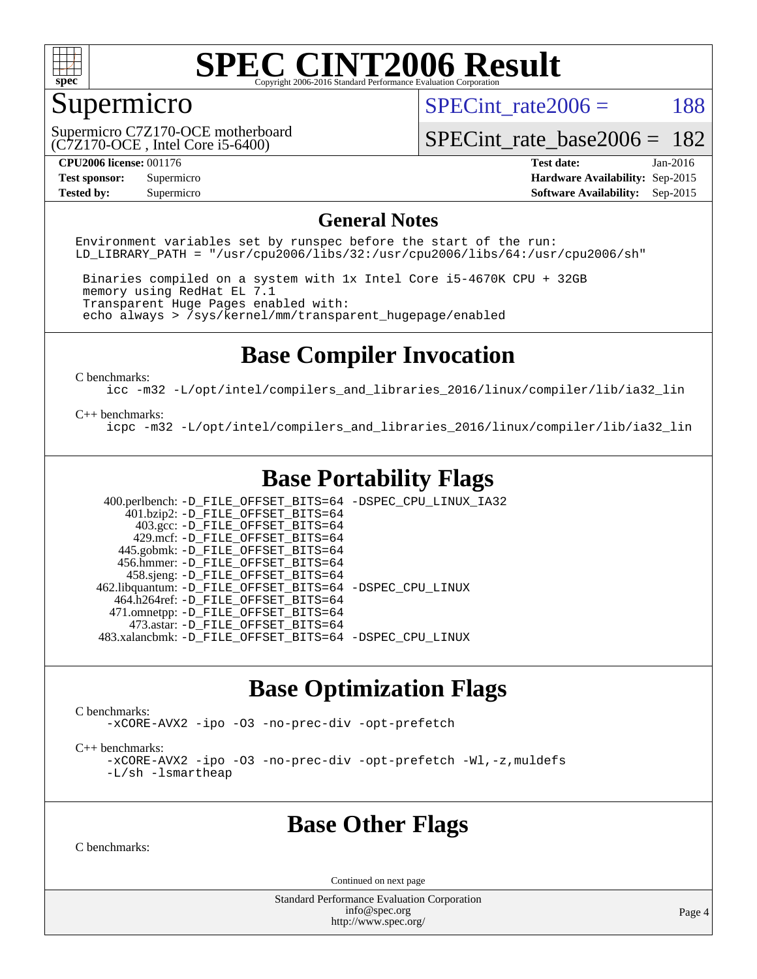

# Supermicro

(C7Z170-OCE , Intel Core i5-6400) Supermicro C7Z170-OCE motherboard SPECint rate $2006 = 188$ 

[SPECint\\_rate\\_base2006 =](http://www.spec.org/auto/cpu2006/Docs/result-fields.html#SPECintratebase2006) 182

**[Tested by:](http://www.spec.org/auto/cpu2006/Docs/result-fields.html#Testedby)** Supermicro **Supermicro [Software Availability:](http://www.spec.org/auto/cpu2006/Docs/result-fields.html#SoftwareAvailability)** Sep-2015

**[CPU2006 license:](http://www.spec.org/auto/cpu2006/Docs/result-fields.html#CPU2006license)** 001176 **[Test date:](http://www.spec.org/auto/cpu2006/Docs/result-fields.html#Testdate)** Jan-2016 **[Test sponsor:](http://www.spec.org/auto/cpu2006/Docs/result-fields.html#Testsponsor)** Supermicro **[Hardware Availability:](http://www.spec.org/auto/cpu2006/Docs/result-fields.html#HardwareAvailability)** Sep-2015

#### **[General Notes](http://www.spec.org/auto/cpu2006/Docs/result-fields.html#GeneralNotes)**

Environment variables set by runspec before the start of the run: LD LIBRARY PATH = "/usr/cpu2006/libs/32:/usr/cpu2006/libs/64:/usr/cpu2006/sh"

 Binaries compiled on a system with 1x Intel Core i5-4670K CPU + 32GB memory using RedHat EL 7.1 Transparent Huge Pages enabled with: echo always > /sys/kernel/mm/transparent\_hugepage/enabled

## **[Base Compiler Invocation](http://www.spec.org/auto/cpu2006/Docs/result-fields.html#BaseCompilerInvocation)**

[C benchmarks](http://www.spec.org/auto/cpu2006/Docs/result-fields.html#Cbenchmarks):

[icc -m32 -L/opt/intel/compilers\\_and\\_libraries\\_2016/linux/compiler/lib/ia32\\_lin](http://www.spec.org/cpu2006/results/res2016q1/cpu2006-20160106-38547.flags.html#user_CCbase_intel_icc_e10256ba5924b668798078a321b0cb3f)

#### [C++ benchmarks:](http://www.spec.org/auto/cpu2006/Docs/result-fields.html#CXXbenchmarks)

[icpc -m32 -L/opt/intel/compilers\\_and\\_libraries\\_2016/linux/compiler/lib/ia32\\_lin](http://www.spec.org/cpu2006/results/res2016q1/cpu2006-20160106-38547.flags.html#user_CXXbase_intel_icpc_b4f50a394bdb4597aa5879c16bc3f5c5)

# **[Base Portability Flags](http://www.spec.org/auto/cpu2006/Docs/result-fields.html#BasePortabilityFlags)**

 400.perlbench: [-D\\_FILE\\_OFFSET\\_BITS=64](http://www.spec.org/cpu2006/results/res2016q1/cpu2006-20160106-38547.flags.html#user_basePORTABILITY400_perlbench_file_offset_bits_64_438cf9856305ebd76870a2c6dc2689ab) [-DSPEC\\_CPU\\_LINUX\\_IA32](http://www.spec.org/cpu2006/results/res2016q1/cpu2006-20160106-38547.flags.html#b400.perlbench_baseCPORTABILITY_DSPEC_CPU_LINUX_IA32)  $401.bzip2: -D$ FILE\_OFFSET\_BITS=64 403.gcc: [-D\\_FILE\\_OFFSET\\_BITS=64](http://www.spec.org/cpu2006/results/res2016q1/cpu2006-20160106-38547.flags.html#user_basePORTABILITY403_gcc_file_offset_bits_64_438cf9856305ebd76870a2c6dc2689ab) 429.mcf: [-D\\_FILE\\_OFFSET\\_BITS=64](http://www.spec.org/cpu2006/results/res2016q1/cpu2006-20160106-38547.flags.html#user_basePORTABILITY429_mcf_file_offset_bits_64_438cf9856305ebd76870a2c6dc2689ab) 445.gobmk: [-D\\_FILE\\_OFFSET\\_BITS=64](http://www.spec.org/cpu2006/results/res2016q1/cpu2006-20160106-38547.flags.html#user_basePORTABILITY445_gobmk_file_offset_bits_64_438cf9856305ebd76870a2c6dc2689ab) 456.hmmer: [-D\\_FILE\\_OFFSET\\_BITS=64](http://www.spec.org/cpu2006/results/res2016q1/cpu2006-20160106-38547.flags.html#user_basePORTABILITY456_hmmer_file_offset_bits_64_438cf9856305ebd76870a2c6dc2689ab) 458.sjeng: [-D\\_FILE\\_OFFSET\\_BITS=64](http://www.spec.org/cpu2006/results/res2016q1/cpu2006-20160106-38547.flags.html#user_basePORTABILITY458_sjeng_file_offset_bits_64_438cf9856305ebd76870a2c6dc2689ab) 462.libquantum: [-D\\_FILE\\_OFFSET\\_BITS=64](http://www.spec.org/cpu2006/results/res2016q1/cpu2006-20160106-38547.flags.html#user_basePORTABILITY462_libquantum_file_offset_bits_64_438cf9856305ebd76870a2c6dc2689ab) [-DSPEC\\_CPU\\_LINUX](http://www.spec.org/cpu2006/results/res2016q1/cpu2006-20160106-38547.flags.html#b462.libquantum_baseCPORTABILITY_DSPEC_CPU_LINUX) 464.h264ref: [-D\\_FILE\\_OFFSET\\_BITS=64](http://www.spec.org/cpu2006/results/res2016q1/cpu2006-20160106-38547.flags.html#user_basePORTABILITY464_h264ref_file_offset_bits_64_438cf9856305ebd76870a2c6dc2689ab) 471.omnetpp: [-D\\_FILE\\_OFFSET\\_BITS=64](http://www.spec.org/cpu2006/results/res2016q1/cpu2006-20160106-38547.flags.html#user_basePORTABILITY471_omnetpp_file_offset_bits_64_438cf9856305ebd76870a2c6dc2689ab) 473.astar: [-D\\_FILE\\_OFFSET\\_BITS=64](http://www.spec.org/cpu2006/results/res2016q1/cpu2006-20160106-38547.flags.html#user_basePORTABILITY473_astar_file_offset_bits_64_438cf9856305ebd76870a2c6dc2689ab) 483.xalancbmk: [-D\\_FILE\\_OFFSET\\_BITS=64](http://www.spec.org/cpu2006/results/res2016q1/cpu2006-20160106-38547.flags.html#user_basePORTABILITY483_xalancbmk_file_offset_bits_64_438cf9856305ebd76870a2c6dc2689ab) [-DSPEC\\_CPU\\_LINUX](http://www.spec.org/cpu2006/results/res2016q1/cpu2006-20160106-38547.flags.html#b483.xalancbmk_baseCXXPORTABILITY_DSPEC_CPU_LINUX)

### **[Base Optimization Flags](http://www.spec.org/auto/cpu2006/Docs/result-fields.html#BaseOptimizationFlags)**

[C benchmarks](http://www.spec.org/auto/cpu2006/Docs/result-fields.html#Cbenchmarks):

[-xCORE-AVX2](http://www.spec.org/cpu2006/results/res2016q1/cpu2006-20160106-38547.flags.html#user_CCbase_f-xAVX2_5f5fc0cbe2c9f62c816d3e45806c70d7) [-ipo](http://www.spec.org/cpu2006/results/res2016q1/cpu2006-20160106-38547.flags.html#user_CCbase_f-ipo) [-O3](http://www.spec.org/cpu2006/results/res2016q1/cpu2006-20160106-38547.flags.html#user_CCbase_f-O3) [-no-prec-div](http://www.spec.org/cpu2006/results/res2016q1/cpu2006-20160106-38547.flags.html#user_CCbase_f-no-prec-div) [-opt-prefetch](http://www.spec.org/cpu2006/results/res2016q1/cpu2006-20160106-38547.flags.html#user_CCbase_f-opt-prefetch)

[C++ benchmarks:](http://www.spec.org/auto/cpu2006/Docs/result-fields.html#CXXbenchmarks)

[-xCORE-AVX2](http://www.spec.org/cpu2006/results/res2016q1/cpu2006-20160106-38547.flags.html#user_CXXbase_f-xAVX2_5f5fc0cbe2c9f62c816d3e45806c70d7) [-ipo](http://www.spec.org/cpu2006/results/res2016q1/cpu2006-20160106-38547.flags.html#user_CXXbase_f-ipo) [-O3](http://www.spec.org/cpu2006/results/res2016q1/cpu2006-20160106-38547.flags.html#user_CXXbase_f-O3) [-no-prec-div](http://www.spec.org/cpu2006/results/res2016q1/cpu2006-20160106-38547.flags.html#user_CXXbase_f-no-prec-div) [-opt-prefetch](http://www.spec.org/cpu2006/results/res2016q1/cpu2006-20160106-38547.flags.html#user_CXXbase_f-opt-prefetch) [-Wl,-z,muldefs](http://www.spec.org/cpu2006/results/res2016q1/cpu2006-20160106-38547.flags.html#user_CXXbase_link_force_multiple1_74079c344b956b9658436fd1b6dd3a8a) [-L/sh -lsmartheap](http://www.spec.org/cpu2006/results/res2016q1/cpu2006-20160106-38547.flags.html#user_CXXbase_SmartHeap_32f6c82aa1ed9c52345d30cf6e4a0499)

### **[Base Other Flags](http://www.spec.org/auto/cpu2006/Docs/result-fields.html#BaseOtherFlags)**

[C benchmarks](http://www.spec.org/auto/cpu2006/Docs/result-fields.html#Cbenchmarks):

Continued on next page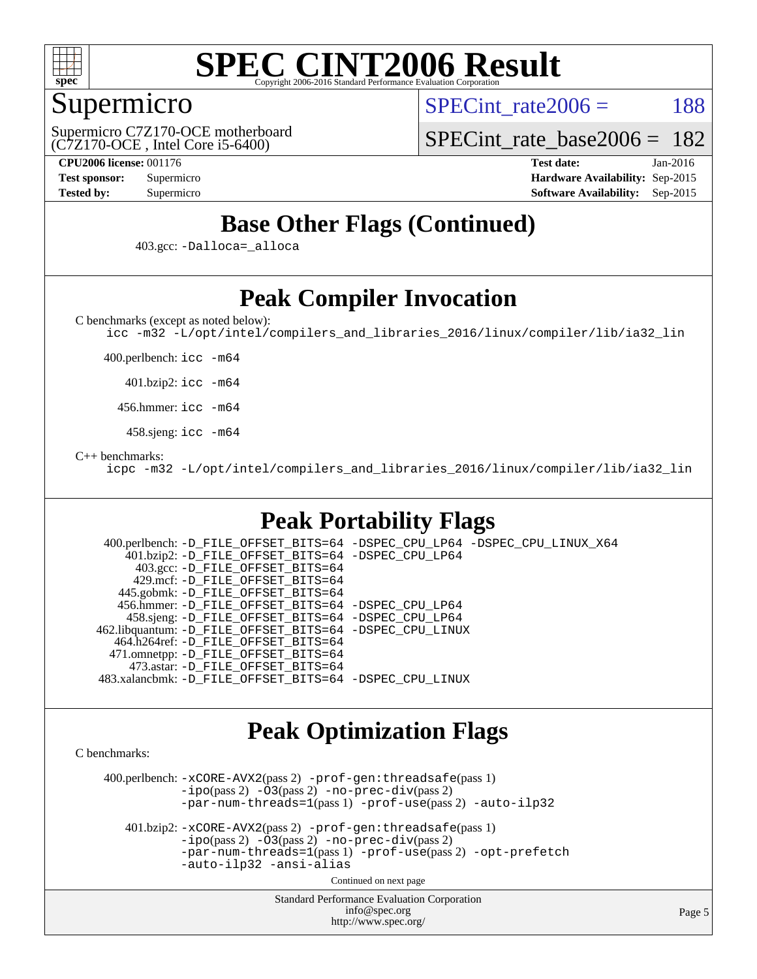

# Supermicro

SPECint rate $2006 = 188$ 

(C7Z170-OCE , Intel Core i5-6400) Supermicro C7Z170-OCE motherboard

[SPECint\\_rate\\_base2006 =](http://www.spec.org/auto/cpu2006/Docs/result-fields.html#SPECintratebase2006) 182

**[CPU2006 license:](http://www.spec.org/auto/cpu2006/Docs/result-fields.html#CPU2006license)** 001176 **[Test date:](http://www.spec.org/auto/cpu2006/Docs/result-fields.html#Testdate)** Jan-2016 **[Test sponsor:](http://www.spec.org/auto/cpu2006/Docs/result-fields.html#Testsponsor)** Supermicro **[Hardware Availability:](http://www.spec.org/auto/cpu2006/Docs/result-fields.html#HardwareAvailability)** Sep-2015 **[Tested by:](http://www.spec.org/auto/cpu2006/Docs/result-fields.html#Testedby)** Supermicro **[Software Availability:](http://www.spec.org/auto/cpu2006/Docs/result-fields.html#SoftwareAvailability)** Sep-2015

# **[Base Other Flags \(Continued\)](http://www.spec.org/auto/cpu2006/Docs/result-fields.html#BaseOtherFlags)**

403.gcc: [-Dalloca=\\_alloca](http://www.spec.org/cpu2006/results/res2016q1/cpu2006-20160106-38547.flags.html#b403.gcc_baseEXTRA_CFLAGS_Dalloca_be3056838c12de2578596ca5467af7f3)

# **[Peak Compiler Invocation](http://www.spec.org/auto/cpu2006/Docs/result-fields.html#PeakCompilerInvocation)**

[C benchmarks \(except as noted below\)](http://www.spec.org/auto/cpu2006/Docs/result-fields.html#Cbenchmarksexceptasnotedbelow):

[icc -m32 -L/opt/intel/compilers\\_and\\_libraries\\_2016/linux/compiler/lib/ia32\\_lin](http://www.spec.org/cpu2006/results/res2016q1/cpu2006-20160106-38547.flags.html#user_CCpeak_intel_icc_e10256ba5924b668798078a321b0cb3f)

400.perlbench: [icc -m64](http://www.spec.org/cpu2006/results/res2016q1/cpu2006-20160106-38547.flags.html#user_peakCCLD400_perlbench_intel_icc_64bit_bda6cc9af1fdbb0edc3795bac97ada53)

401.bzip2: [icc -m64](http://www.spec.org/cpu2006/results/res2016q1/cpu2006-20160106-38547.flags.html#user_peakCCLD401_bzip2_intel_icc_64bit_bda6cc9af1fdbb0edc3795bac97ada53)

456.hmmer: [icc -m64](http://www.spec.org/cpu2006/results/res2016q1/cpu2006-20160106-38547.flags.html#user_peakCCLD456_hmmer_intel_icc_64bit_bda6cc9af1fdbb0edc3795bac97ada53)

458.sjeng: [icc -m64](http://www.spec.org/cpu2006/results/res2016q1/cpu2006-20160106-38547.flags.html#user_peakCCLD458_sjeng_intel_icc_64bit_bda6cc9af1fdbb0edc3795bac97ada53)

#### [C++ benchmarks:](http://www.spec.org/auto/cpu2006/Docs/result-fields.html#CXXbenchmarks)

[icpc -m32 -L/opt/intel/compilers\\_and\\_libraries\\_2016/linux/compiler/lib/ia32\\_lin](http://www.spec.org/cpu2006/results/res2016q1/cpu2006-20160106-38547.flags.html#user_CXXpeak_intel_icpc_b4f50a394bdb4597aa5879c16bc3f5c5)

# **[Peak Portability Flags](http://www.spec.org/auto/cpu2006/Docs/result-fields.html#PeakPortabilityFlags)**

 400.perlbench: [-D\\_FILE\\_OFFSET\\_BITS=64](http://www.spec.org/cpu2006/results/res2016q1/cpu2006-20160106-38547.flags.html#user_peakPORTABILITY400_perlbench_file_offset_bits_64_438cf9856305ebd76870a2c6dc2689ab) [-DSPEC\\_CPU\\_LP64](http://www.spec.org/cpu2006/results/res2016q1/cpu2006-20160106-38547.flags.html#b400.perlbench_peakCPORTABILITY_DSPEC_CPU_LP64) [-DSPEC\\_CPU\\_LINUX\\_X64](http://www.spec.org/cpu2006/results/res2016q1/cpu2006-20160106-38547.flags.html#b400.perlbench_peakCPORTABILITY_DSPEC_CPU_LINUX_X64) 401.bzip2: [-D\\_FILE\\_OFFSET\\_BITS=64](http://www.spec.org/cpu2006/results/res2016q1/cpu2006-20160106-38547.flags.html#user_peakPORTABILITY401_bzip2_file_offset_bits_64_438cf9856305ebd76870a2c6dc2689ab) [-DSPEC\\_CPU\\_LP64](http://www.spec.org/cpu2006/results/res2016q1/cpu2006-20160106-38547.flags.html#suite_peakCPORTABILITY401_bzip2_DSPEC_CPU_LP64) 403.gcc: [-D\\_FILE\\_OFFSET\\_BITS=64](http://www.spec.org/cpu2006/results/res2016q1/cpu2006-20160106-38547.flags.html#user_peakPORTABILITY403_gcc_file_offset_bits_64_438cf9856305ebd76870a2c6dc2689ab) 429.mcf: [-D\\_FILE\\_OFFSET\\_BITS=64](http://www.spec.org/cpu2006/results/res2016q1/cpu2006-20160106-38547.flags.html#user_peakPORTABILITY429_mcf_file_offset_bits_64_438cf9856305ebd76870a2c6dc2689ab) 445.gobmk: [-D\\_FILE\\_OFFSET\\_BITS=64](http://www.spec.org/cpu2006/results/res2016q1/cpu2006-20160106-38547.flags.html#user_peakPORTABILITY445_gobmk_file_offset_bits_64_438cf9856305ebd76870a2c6dc2689ab) 456.hmmer: [-D\\_FILE\\_OFFSET\\_BITS=64](http://www.spec.org/cpu2006/results/res2016q1/cpu2006-20160106-38547.flags.html#user_peakPORTABILITY456_hmmer_file_offset_bits_64_438cf9856305ebd76870a2c6dc2689ab) [-DSPEC\\_CPU\\_LP64](http://www.spec.org/cpu2006/results/res2016q1/cpu2006-20160106-38547.flags.html#suite_peakCPORTABILITY456_hmmer_DSPEC_CPU_LP64) 458.sjeng: [-D\\_FILE\\_OFFSET\\_BITS=64](http://www.spec.org/cpu2006/results/res2016q1/cpu2006-20160106-38547.flags.html#user_peakPORTABILITY458_sjeng_file_offset_bits_64_438cf9856305ebd76870a2c6dc2689ab) [-DSPEC\\_CPU\\_LP64](http://www.spec.org/cpu2006/results/res2016q1/cpu2006-20160106-38547.flags.html#suite_peakCPORTABILITY458_sjeng_DSPEC_CPU_LP64) 462.libquantum: [-D\\_FILE\\_OFFSET\\_BITS=64](http://www.spec.org/cpu2006/results/res2016q1/cpu2006-20160106-38547.flags.html#user_peakPORTABILITY462_libquantum_file_offset_bits_64_438cf9856305ebd76870a2c6dc2689ab) [-DSPEC\\_CPU\\_LINUX](http://www.spec.org/cpu2006/results/res2016q1/cpu2006-20160106-38547.flags.html#b462.libquantum_peakCPORTABILITY_DSPEC_CPU_LINUX) 464.h264ref: [-D\\_FILE\\_OFFSET\\_BITS=64](http://www.spec.org/cpu2006/results/res2016q1/cpu2006-20160106-38547.flags.html#user_peakPORTABILITY464_h264ref_file_offset_bits_64_438cf9856305ebd76870a2c6dc2689ab) 471.omnetpp: [-D\\_FILE\\_OFFSET\\_BITS=64](http://www.spec.org/cpu2006/results/res2016q1/cpu2006-20160106-38547.flags.html#user_peakPORTABILITY471_omnetpp_file_offset_bits_64_438cf9856305ebd76870a2c6dc2689ab) 473.astar: [-D\\_FILE\\_OFFSET\\_BITS=64](http://www.spec.org/cpu2006/results/res2016q1/cpu2006-20160106-38547.flags.html#user_peakPORTABILITY473_astar_file_offset_bits_64_438cf9856305ebd76870a2c6dc2689ab) 483.xalancbmk: [-D\\_FILE\\_OFFSET\\_BITS=64](http://www.spec.org/cpu2006/results/res2016q1/cpu2006-20160106-38547.flags.html#user_peakPORTABILITY483_xalancbmk_file_offset_bits_64_438cf9856305ebd76870a2c6dc2689ab) [-DSPEC\\_CPU\\_LINUX](http://www.spec.org/cpu2006/results/res2016q1/cpu2006-20160106-38547.flags.html#b483.xalancbmk_peakCXXPORTABILITY_DSPEC_CPU_LINUX)

### **[Peak Optimization Flags](http://www.spec.org/auto/cpu2006/Docs/result-fields.html#PeakOptimizationFlags)**

[C benchmarks](http://www.spec.org/auto/cpu2006/Docs/result-fields.html#Cbenchmarks):

 400.perlbench: [-xCORE-AVX2](http://www.spec.org/cpu2006/results/res2016q1/cpu2006-20160106-38547.flags.html#user_peakPASS2_CFLAGSPASS2_LDCFLAGS400_perlbench_f-xAVX2_5f5fc0cbe2c9f62c816d3e45806c70d7)(pass 2) [-prof-gen:threadsafe](http://www.spec.org/cpu2006/results/res2016q1/cpu2006-20160106-38547.flags.html#user_peakPASS1_CFLAGSPASS1_LDCFLAGS400_perlbench_prof_gen_21a26eb79f378b550acd7bec9fe4467a)(pass 1)  $-i\text{po}(pass 2) -\tilde{O}3(pass 2)$  [-no-prec-div](http://www.spec.org/cpu2006/results/res2016q1/cpu2006-20160106-38547.flags.html#user_peakPASS2_CFLAGSPASS2_LDCFLAGS400_perlbench_f-no-prec-div)(pass 2) [-par-num-threads=1](http://www.spec.org/cpu2006/results/res2016q1/cpu2006-20160106-38547.flags.html#user_peakPASS1_CFLAGSPASS1_LDCFLAGS400_perlbench_par_num_threads_786a6ff141b4e9e90432e998842df6c2)(pass 1) [-prof-use](http://www.spec.org/cpu2006/results/res2016q1/cpu2006-20160106-38547.flags.html#user_peakPASS2_CFLAGSPASS2_LDCFLAGS400_perlbench_prof_use_bccf7792157ff70d64e32fe3e1250b55)(pass 2) [-auto-ilp32](http://www.spec.org/cpu2006/results/res2016q1/cpu2006-20160106-38547.flags.html#user_peakCOPTIMIZE400_perlbench_f-auto-ilp32)

 401.bzip2: [-xCORE-AVX2](http://www.spec.org/cpu2006/results/res2016q1/cpu2006-20160106-38547.flags.html#user_peakPASS2_CFLAGSPASS2_LDCFLAGS401_bzip2_f-xAVX2_5f5fc0cbe2c9f62c816d3e45806c70d7)(pass 2) [-prof-gen:threadsafe](http://www.spec.org/cpu2006/results/res2016q1/cpu2006-20160106-38547.flags.html#user_peakPASS1_CFLAGSPASS1_LDCFLAGS401_bzip2_prof_gen_21a26eb79f378b550acd7bec9fe4467a)(pass 1)  $-i\text{po}(pass 2) -\overline{O}3(pass 2)$  [-no-prec-div](http://www.spec.org/cpu2006/results/res2016q1/cpu2006-20160106-38547.flags.html#user_peakPASS2_CFLAGSPASS2_LDCFLAGS401_bzip2_f-no-prec-div)(pass 2) [-par-num-threads=1](http://www.spec.org/cpu2006/results/res2016q1/cpu2006-20160106-38547.flags.html#user_peakPASS1_CFLAGSPASS1_LDCFLAGS401_bzip2_par_num_threads_786a6ff141b4e9e90432e998842df6c2)(pass 1) [-prof-use](http://www.spec.org/cpu2006/results/res2016q1/cpu2006-20160106-38547.flags.html#user_peakPASS2_CFLAGSPASS2_LDCFLAGS401_bzip2_prof_use_bccf7792157ff70d64e32fe3e1250b55)(pass 2) [-opt-prefetch](http://www.spec.org/cpu2006/results/res2016q1/cpu2006-20160106-38547.flags.html#user_peakCOPTIMIZE401_bzip2_f-opt-prefetch) [-auto-ilp32](http://www.spec.org/cpu2006/results/res2016q1/cpu2006-20160106-38547.flags.html#user_peakCOPTIMIZE401_bzip2_f-auto-ilp32) [-ansi-alias](http://www.spec.org/cpu2006/results/res2016q1/cpu2006-20160106-38547.flags.html#user_peakCOPTIMIZE401_bzip2_f-ansi-alias)

Continued on next page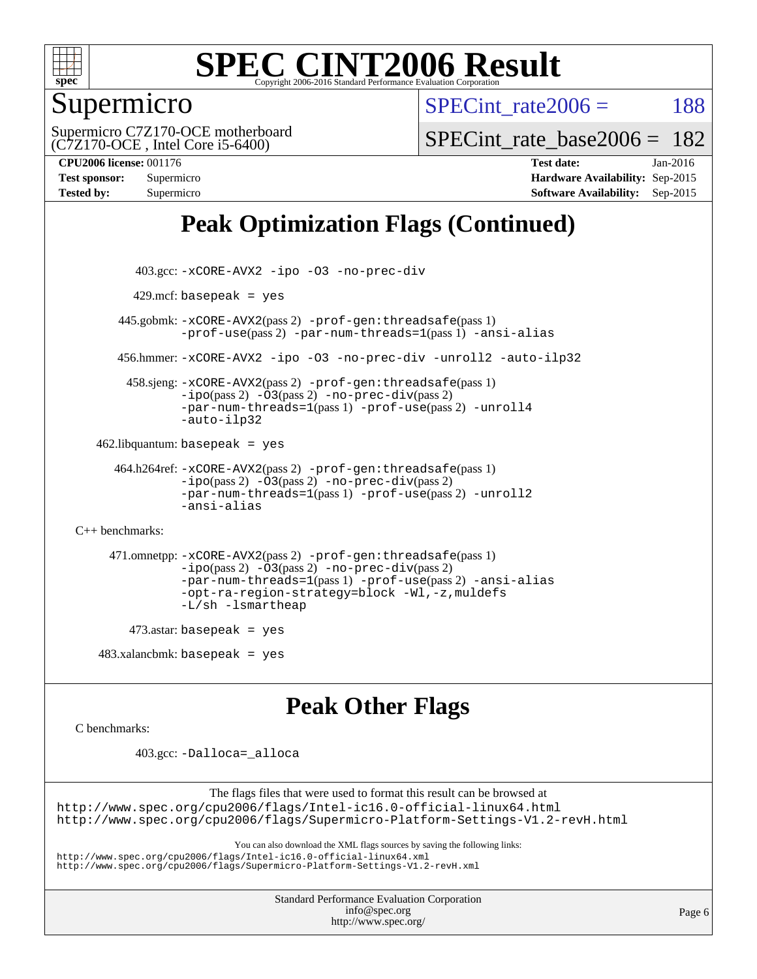

# Supermicro

SPECint rate $2006 = 188$ 

(C7Z170-OCE , Intel Core i5-6400) Supermicro C7Z170-OCE motherboard

SPECint rate base  $2006 = 182$ 

**[CPU2006 license:](http://www.spec.org/auto/cpu2006/Docs/result-fields.html#CPU2006license)** 001176 **[Test date:](http://www.spec.org/auto/cpu2006/Docs/result-fields.html#Testdate)** Jan-2016 **[Test sponsor:](http://www.spec.org/auto/cpu2006/Docs/result-fields.html#Testsponsor)** Supermicro **[Hardware Availability:](http://www.spec.org/auto/cpu2006/Docs/result-fields.html#HardwareAvailability)** Sep-2015 **[Tested by:](http://www.spec.org/auto/cpu2006/Docs/result-fields.html#Testedby)** Supermicro **[Software Availability:](http://www.spec.org/auto/cpu2006/Docs/result-fields.html#SoftwareAvailability)** Sep-2015

# **[Peak Optimization Flags \(Continued\)](http://www.spec.org/auto/cpu2006/Docs/result-fields.html#PeakOptimizationFlags)**

```
 403.gcc: -xCORE-AVX2 -ipo -O3 -no-prec-div
         429.mcf: basepeak = yes
       445.gobmk: -xCORE-AVX2(pass 2) -prof-gen:threadsafe(pass 1)
                -prof-use(pass 2) -par-num-threads=1(pass 1) -ansi-alias
       456.hmmer: -xCORE-AVX2 -ipo -O3 -no-prec-div -unroll2 -auto-ilp32
        458.sjeng: -xCORE-AVX2(pass 2) -prof-gen:threadsafe(pass 1)
                -i\text{po}(pass 2) -\ddot{o}3(pass 2)-no-prec-div(pass 2)
                -par-num-threads=1(pass 1) -prof-use(pass 2) -unroll4
                -auto-ilp32
   462.libquantum: basepeak = yes
      464.h264ref: -xCORE-AVX2(pass 2) -prof-gen:threadsafe(pass 1)
                -ipo(pass 2) -O3(pass 2) -no-prec-div(pass 2)
                -par-num-threads=1(pass 1) -prof-use(pass 2) -unroll2
                -ansi-alias
C++ benchmarks: 
      471.omnetpp: -xCORE-AVX2(pass 2) -prof-gen:threadsafe(pass 1)
                -ipo(pass 2) -O3(pass 2) -no-prec-div(pass 2)
                -par-num-threads=1(pass 1) -prof-use(pass 2) -ansi-alias
                -opt-ra-region-strategy=block -Wl,-z,muldefs
                -L/sh -lsmartheap
        473.astar: basepeak = yes
   483.xalanchmk: basepeak = yesPeak Other Flags
C benchmarks:
```
403.gcc: [-Dalloca=\\_alloca](http://www.spec.org/cpu2006/results/res2016q1/cpu2006-20160106-38547.flags.html#b403.gcc_peakEXTRA_CFLAGS_Dalloca_be3056838c12de2578596ca5467af7f3)

The flags files that were used to format this result can be browsed at <http://www.spec.org/cpu2006/flags/Intel-ic16.0-official-linux64.html> <http://www.spec.org/cpu2006/flags/Supermicro-Platform-Settings-V1.2-revH.html>

You can also download the XML flags sources by saving the following links:

<http://www.spec.org/cpu2006/flags/Intel-ic16.0-official-linux64.xml>

<http://www.spec.org/cpu2006/flags/Supermicro-Platform-Settings-V1.2-revH.xml>

Standard Performance Evaluation Corporation [info@spec.org](mailto:info@spec.org) <http://www.spec.org/>

Page 6